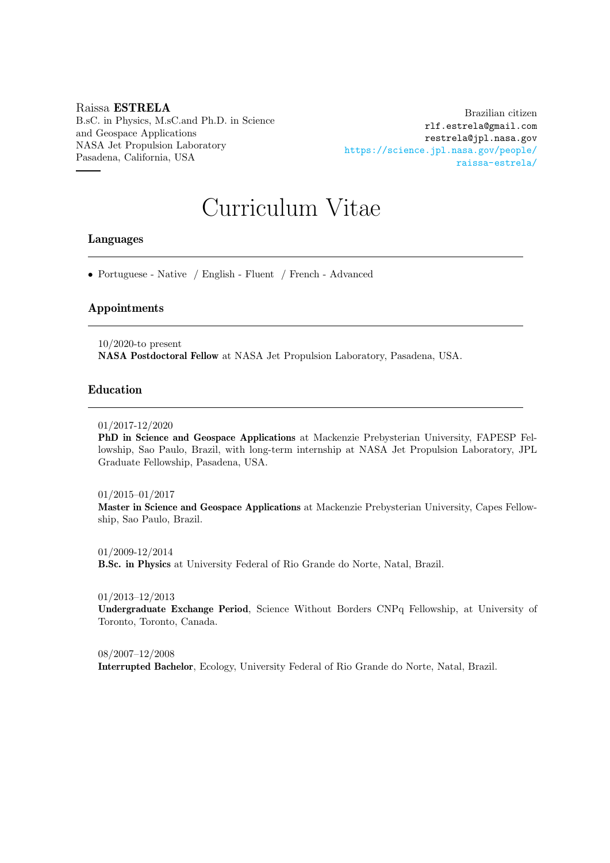## Raissa ESTRELA B.sC. in Physics, M.sC.and Ph.D. in Science and Geospace Applications NASA Jet Propulsion Laboratory Pasadena, California, USA

Brazilian citizen rlf.estrela@gmail.com restrela@jpl.nasa.gov [https://science.jpl.nasa.gov/people/](https://science.jpl.nasa.gov/people/raissa-estrela/) [raissa-estrela/](https://science.jpl.nasa.gov/people/raissa-estrela/)

# Curriculum Vitae

## Languages

• Portuguese - Native / English - Fluent / French - Advanced

# Appointments

10/2020-to present NASA Postdoctoral Fellow at NASA Jet Propulsion Laboratory, Pasadena, USA.

## Education

#### 01/2017-12/2020

PhD in Science and Geospace Applications at Mackenzie Prebysterian University, FAPESP Fellowship, Sao Paulo, Brazil, with long-term internship at NASA Jet Propulsion Laboratory, JPL Graduate Fellowship, Pasadena, USA.

#### 01/2015–01/2017

Master in Science and Geospace Applications at Mackenzie Prebysterian University, Capes Fellowship, Sao Paulo, Brazil.

01/2009-12/2014 B.Sc. in Physics at University Federal of Rio Grande do Norte, Natal, Brazil.

01/2013–12/2013

Undergraduate Exchange Period, Science Without Borders CNPq Fellowship, at University of Toronto, Toronto, Canada.

08/2007–12/2008 Interrupted Bachelor, Ecology, University Federal of Rio Grande do Norte, Natal, Brazil.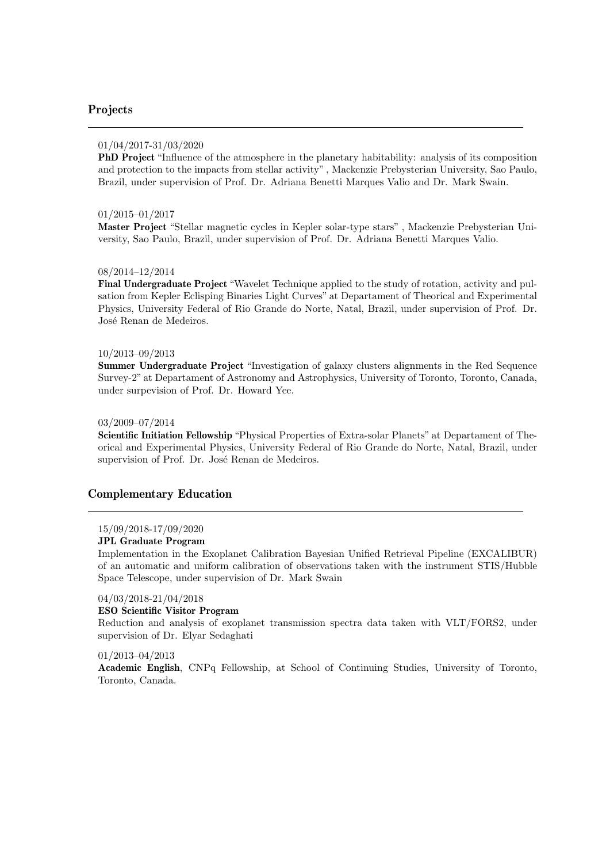# Projects

#### 01/04/2017-31/03/2020

PhD Project "Influence of the atmosphere in the planetary habitability: analysis of its composition and protection to the impacts from stellar activity" , Mackenzie Prebysterian University, Sao Paulo, Brazil, under supervision of Prof. Dr. Adriana Benetti Marques Valio and Dr. Mark Swain.

#### 01/2015–01/2017

Master Project "Stellar magnetic cycles in Kepler solar-type stars" , Mackenzie Prebysterian University, Sao Paulo, Brazil, under supervision of Prof. Dr. Adriana Benetti Marques Valio.

#### 08/2014–12/2014

Final Undergraduate Project "Wavelet Technique applied to the study of rotation, activity and pulsation from Kepler Eclisping Binaries Light Curves" at Departament of Theorical and Experimental Physics, University Federal of Rio Grande do Norte, Natal, Brazil, under supervision of Prof. Dr. José Renan de Medeiros.

#### 10/2013–09/2013

Summer Undergraduate Project "Investigation of galaxy clusters alignments in the Red Sequence Survey-2" at Departament of Astronomy and Astrophysics, University of Toronto, Toronto, Canada, under surpevision of Prof. Dr. Howard Yee.

#### 03/2009–07/2014

Scientific Initiation Fellowship "Physical Properties of Extra-solar Planets" at Departament of Theorical and Experimental Physics, University Federal of Rio Grande do Norte, Natal, Brazil, under supervision of Prof. Dr. José Renan de Medeiros.

#### Complementary Education

#### 15/09/2018-17/09/2020

#### JPL Graduate Program

Implementation in the Exoplanet Calibration Bayesian Unified Retrieval Pipeline (EXCALIBUR) of an automatic and uniform calibration of observations taken with the instrument STIS/Hubble Space Telescope, under supervision of Dr. Mark Swain

#### 04/03/2018-21/04/2018

#### ESO Scientific Visitor Program

Reduction and analysis of exoplanet transmission spectra data taken with VLT/FORS2, under supervision of Dr. Elyar Sedaghati

#### 01/2013–04/2013

Academic English, CNPq Fellowship, at School of Continuing Studies, University of Toronto, Toronto, Canada.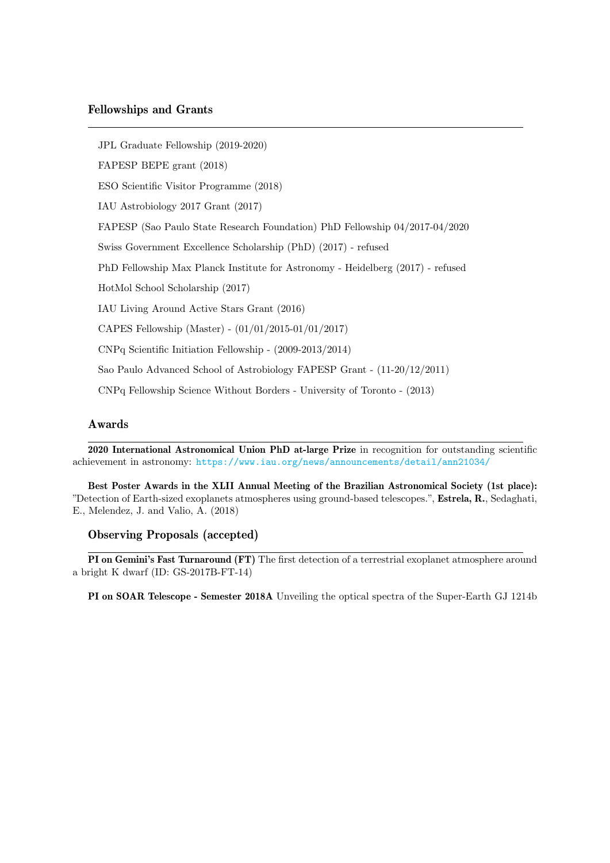JPL Graduate Fellowship (2019-2020)

FAPESP BEPE grant (2018)

ESO Scientific Visitor Programme (2018)

IAU Astrobiology 2017 Grant (2017)

FAPESP (Sao Paulo State Research Foundation) PhD Fellowship 04/2017-04/2020

Swiss Government Excellence Scholarship (PhD) (2017) - refused

PhD Fellowship Max Planck Institute for Astronomy - Heidelberg (2017) - refused

HotMol School Scholarship (2017)

IAU Living Around Active Stars Grant (2016)

CAPES Fellowship (Master) - (01/01/2015-01/01/2017)

CNPq Scientific Initiation Fellowship - (2009-2013/2014)

Sao Paulo Advanced School of Astrobiology FAPESP Grant - (11-20/12/2011)

CNPq Fellowship Science Without Borders - University of Toronto - (2013)

## Awards

2020 International Astronomical Union PhD at-large Prize in recognition for outstanding scientific achievement in astronomy: <https://www.iau.org/news/announcements/detail/ann21034/>

Best Poster Awards in the XLII Annual Meeting of the Brazilian Astronomical Society (1st place): "Detection of Earth-sized exoplanets atmospheres using ground-based telescopes.", Estrela, R., Sedaghati, E., Melendez, J. and Valio, A. (2018)

## Observing Proposals (accepted)

PI on Gemini's Fast Turnaround (FT) The first detection of a terrestrial exoplanet atmosphere around a bright K dwarf (ID: GS-2017B-FT-14)

PI on SOAR Telescope - Semester 2018A Unveiling the optical spectra of the Super-Earth GJ 1214b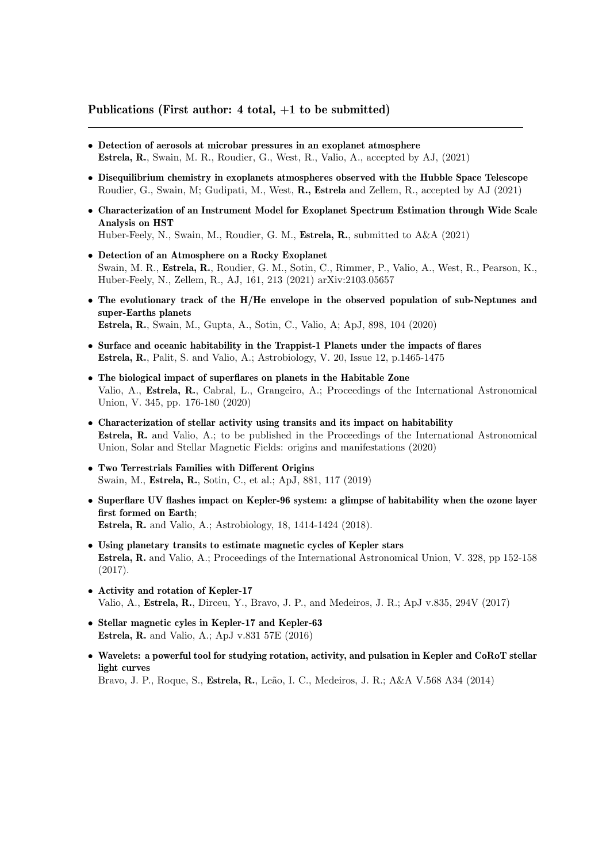# Publications (First author: 4 total, +1 to be submitted)

- Detection of aerosols at microbar pressures in an exoplanet atmosphere Estrela, R., Swain, M. R., Roudier, G., West, R., Valio, A., accepted by AJ, (2021)
- Disequilibrium chemistry in exoplanets atmospheres observed with the Hubble Space Telescope Roudier, G., Swain, M; Gudipati, M., West, R., Estrela and Zellem, R., accepted by AJ (2021)
- Characterization of an Instrument Model for Exoplanet Spectrum Estimation through Wide Scale Analysis on HST Huber-Feely, N., Swain, M., Roudier, G. M., Estrela, R., submitted to A&A (2021)
	-
- Detection of an Atmosphere on a Rocky Exoplanet Swain, M. R., Estrela, R., Roudier, G. M., Sotin, C., Rimmer, P., Valio, A., West, R., Pearson, K., Huber-Feely, N., Zellem, R., AJ, 161, 213 (2021) arXiv:2103.05657
- The evolutionary track of the H/He envelope in the observed population of sub-Neptunes and super-Earths planets Estrela, R., Swain, M., Gupta, A., Sotin, C., Valio, A; ApJ, 898, 104 (2020)
- Surface and oceanic habitability in the Trappist-1 Planets under the impacts of flares Estrela, R., Palit, S. and Valio, A.; Astrobiology, V. 20, Issue 12, p.1465-1475
- The biological impact of superflares on planets in the Habitable Zone Valio, A., Estrela, R., Cabral, L., Grangeiro, A.; Proceedings of the International Astronomical Union, V. 345, pp. 176-180 (2020)
- Characterization of stellar activity using transits and its impact on habitability Estrela, R. and Valio, A.; to be published in the Proceedings of the International Astronomical Union, Solar and Stellar Magnetic Fields: origins and manifestations (2020)
- Two Terrestrials Families with Different Origins Swain, M., Estrela, R., Sotin, C., et al.; ApJ, 881, 117 (2019)
- Superflare UV flashes impact on Kepler-96 system: a glimpse of habitability when the ozone layer first formed on Earth; Estrela, R. and Valio, A.; Astrobiology, 18, 1414-1424 (2018).
- Using planetary transits to estimate magnetic cycles of Kepler stars Estrela, R. and Valio, A.; Proceedings of the International Astronomical Union, V. 328, pp 152-158 (2017).
- Activity and rotation of Kepler-17 Valio, A., Estrela, R., Dirceu, Y., Bravo, J. P., and Medeiros, J. R.; ApJ v.835, 294V (2017)
- Stellar magnetic cyles in Kepler-17 and Kepler-63 Estrela, R. and Valio, A.; ApJ v.831 57E (2016)
- Wavelets: a powerful tool for studying rotation, activity, and pulsation in Kepler and CoRoT stellar light curves

Bravo, J. P., Roque, S., Estrela, R., Leão, I. C., Medeiros, J. R.; A&A V.568 A34 (2014)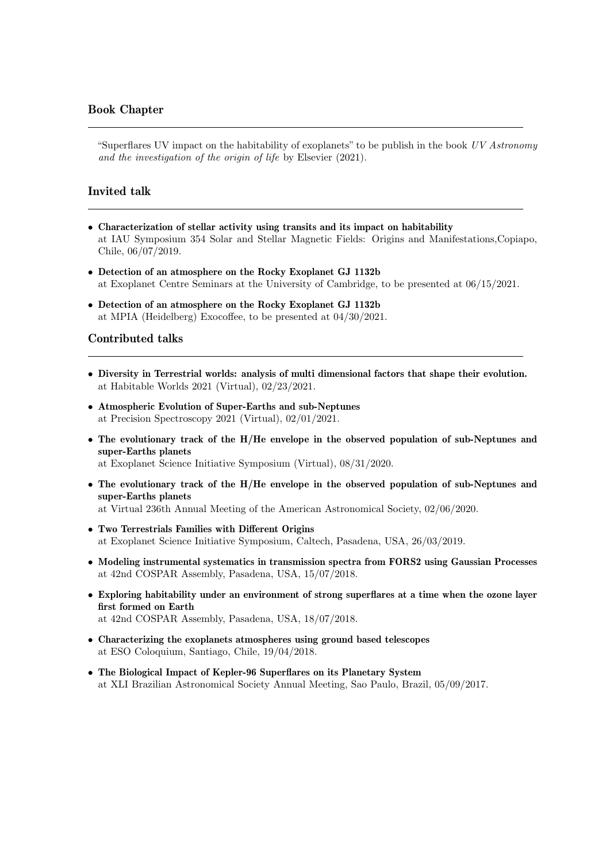# Book Chapter

"Superflares UV impact on the habitability of exoplanets" to be publish in the book  $UV$  Astronomy and the investigation of the origin of life by Elsevier (2021).

## Invited talk

- Characterization of stellar activity using transits and its impact on habitability at IAU Symposium 354 Solar and Stellar Magnetic Fields: Origins and Manifestations,Copiapo, Chile, 06/07/2019.
- Detection of an atmosphere on the Rocky Exoplanet GJ 1132b at Exoplanet Centre Seminars at the University of Cambridge, to be presented at 06/15/2021.
- Detection of an atmosphere on the Rocky Exoplanet GJ 1132b at MPIA (Heidelberg) Exocoffee, to be presented at 04/30/2021.

## Contributed talks

- Diversity in Terrestrial worlds: analysis of multi dimensional factors that shape their evolution. at Habitable Worlds 2021 (Virtual), 02/23/2021.
- Atmospheric Evolution of Super-Earths and sub-Neptunes at Precision Spectroscopy 2021 (Virtual), 02/01/2021.
- The evolutionary track of the H/He envelope in the observed population of sub-Neptunes and super-Earths planets

at Exoplanet Science Initiative Symposium (Virtual), 08/31/2020.

- The evolutionary track of the H/He envelope in the observed population of sub-Neptunes and super-Earths planets at Virtual 236th Annual Meeting of the American Astronomical Society, 02/06/2020.
- Two Terrestrials Families with Different Origins at Exoplanet Science Initiative Symposium, Caltech, Pasadena, USA, 26/03/2019.
- Modeling instrumental systematics in transmission spectra from FORS2 using Gaussian Processes at 42nd COSPAR Assembly, Pasadena, USA, 15/07/2018.
- Exploring habitability under an environment of strong superflares at a time when the ozone layer first formed on Earth at 42nd COSPAR Assembly, Pasadena, USA, 18/07/2018.
- Characterizing the exoplanets atmospheres using ground based telescopes at ESO Coloquium, Santiago, Chile, 19/04/2018.
- The Biological Impact of Kepler-96 Superflares on its Planetary System

at XLI Brazilian Astronomical Society Annual Meeting, Sao Paulo, Brazil, 05/09/2017.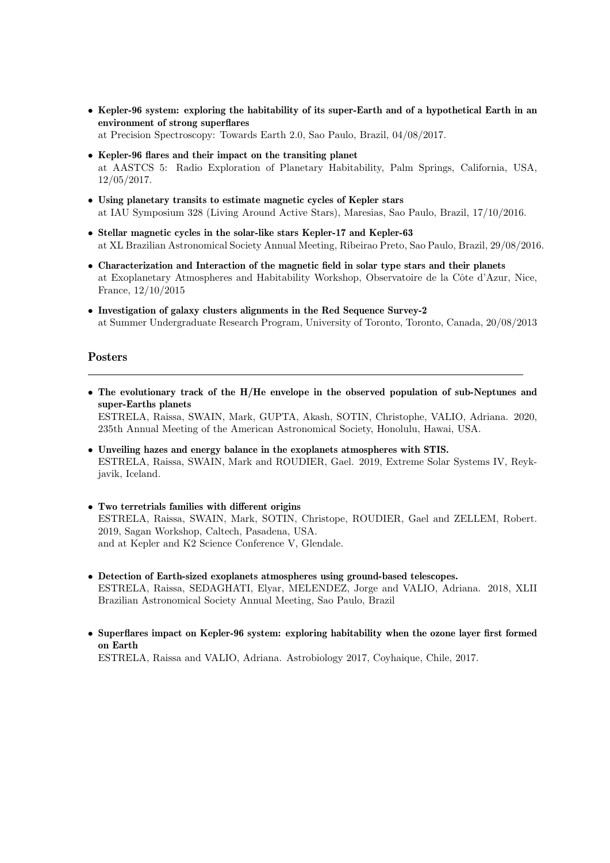- Kepler-96 system: exploring the habitability of its super-Earth and of a hypothetical Earth in an environment of strong superflares at Precision Spectroscopy: Towards Earth 2.0, Sao Paulo, Brazil, 04/08/2017.
- Kepler-96 flares and their impact on the transiting planet
- at AASTCS 5: Radio Exploration of Planetary Habitability, Palm Springs, California, USA, 12/05/2017.
- Using planetary transits to estimate magnetic cycles of Kepler stars at IAU Symposium 328 (Living Around Active Stars), Maresias, Sao Paulo, Brazil, 17/10/2016.
- Stellar magnetic cycles in the solar-like stars Kepler-17 and Kepler-63 at XL Brazilian Astronomical Society Annual Meeting, Ribeirao Preto, Sao Paulo, Brazil, 29/08/2016.
- Characterization and Interaction of the magnetic field in solar type stars and their planets at Exoplanetary Atmospheres and Habitability Workshop, Observatoire de la Côte d'Azur, Nice, France, 12/10/2015
- Investigation of galaxy clusters alignments in the Red Sequence Survey-2 at Summer Undergraduate Research Program, University of Toronto, Toronto, Canada, 20/08/2013

## Posters

• The evolutionary track of the H/He envelope in the observed population of sub-Neptunes and super-Earths planets ESTRELA, Raissa, SWAIN, Mark, GUPTA, Akash, SOTIN, Christophe, VALIO, Adriana. 2020,

235th Annual Meeting of the American Astronomical Society, Honolulu, Hawai, USA.

- Unveiling hazes and energy balance in the exoplanets atmospheres with STIS. ESTRELA, Raissa, SWAIN, Mark and ROUDIER, Gael. 2019, Extreme Solar Systems IV, Reykjavik, Iceland.
- Two terretrials families with different origins ESTRELA, Raissa, SWAIN, Mark, SOTIN, Christope, ROUDIER, Gael and ZELLEM, Robert. 2019, Sagan Workshop, Caltech, Pasadena, USA. and at Kepler and K2 Science Conference V, Glendale.
- Detection of Earth-sized exoplanets atmospheres using ground-based telescopes. ESTRELA, Raissa, SEDAGHATI, Elyar, MELENDEZ, Jorge and VALIO, Adriana. 2018, XLII Brazilian Astronomical Society Annual Meeting, Sao Paulo, Brazil
- Superflares impact on Kepler-96 system: exploring habitability when the ozone layer first formed on Earth

ESTRELA, Raissa and VALIO, Adriana. Astrobiology 2017, Coyhaique, Chile, 2017.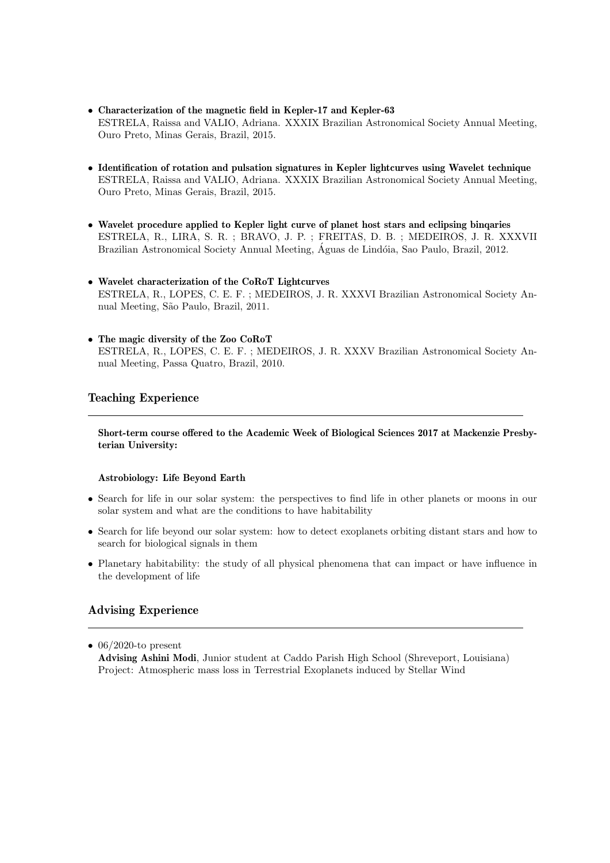- Characterization of the magnetic field in Kepler-17 and Kepler-63 ESTRELA, Raissa and VALIO, Adriana. XXXIX Brazilian Astronomical Society Annual Meeting, Ouro Preto, Minas Gerais, Brazil, 2015.
- Identification of rotation and pulsation signatures in Kepler lightcurves using Wavelet technique ESTRELA, Raissa and VALIO, Adriana. XXXIX Brazilian Astronomical Society Annual Meeting, Ouro Preto, Minas Gerais, Brazil, 2015.
- Wavelet procedure applied to Kepler light curve of planet host stars and eclipsing binqaries ESTRELA, R., LIRA, S. R. ; BRAVO, J. P. ; FREITAS, D. B. ; MEDEIROS, J. R. XXXVII Brazilian Astronomical Society Annual Meeting, Aguas de Lindóia, Sao Paulo, Brazil, 2012.
- Wavelet characterization of the CoRoT Lightcurves ESTRELA, R., LOPES, C. E. F. ; MEDEIROS, J. R. XXXVI Brazilian Astronomical Society Annual Meeting, S˜ao Paulo, Brazil, 2011.
- The magic diversity of the Zoo CoRoT ESTRELA, R., LOPES, C. E. F. ; MEDEIROS, J. R. XXXV Brazilian Astronomical Society Annual Meeting, Passa Quatro, Brazil, 2010.

## Teaching Experience

Short-term course offered to the Academic Week of Biological Sciences 2017 at Mackenzie Presbyterian University:

#### Astrobiology: Life Beyond Earth

- Search for life in our solar system: the perspectives to find life in other planets or moons in our solar system and what are the conditions to have habitability
- Search for life beyond our solar system: how to detect exoplanets orbiting distant stars and how to search for biological signals in them
- Planetary habitability: the study of all physical phenomena that can impact or have influence in the development of life

# Advising Experience

 $\bullet$  06/2020-to present Advising Ashini Modi, Junior student at Caddo Parish High School (Shreveport, Louisiana) Project: Atmospheric mass loss in Terrestrial Exoplanets induced by Stellar Wind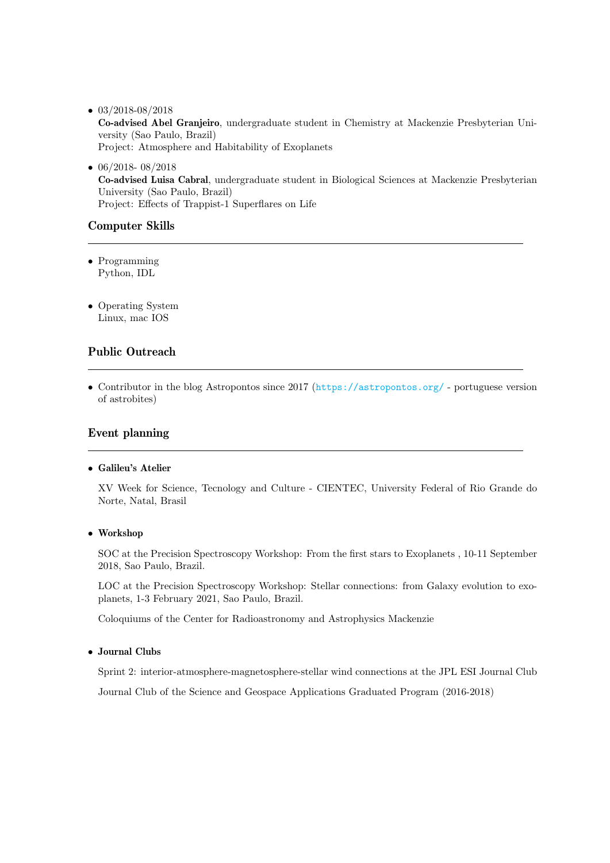- $\bullet$  03/2018-08/2018 Co-advised Abel Granjeiro, undergraduate student in Chemistry at Mackenzie Presbyterian University (Sao Paulo, Brazil) Project: Atmosphere and Habitability of Exoplanets
- $\bullet$  06/2018- 08/2018 Co-advised Luisa Cabral, undergraduate student in Biological Sciences at Mackenzie Presbyterian University (Sao Paulo, Brazil) Project: Effects of Trappist-1 Superflares on Life

# Computer Skills

- Programming Python, IDL
- Operating System Linux, mac IOS

# Public Outreach

• Contributor in the blog Astropontos since 2017 (<https://astropontos.org/> - portuguese version of astrobites)

# Event planning

## • Galileu's Atelier

XV Week for Science, Tecnology and Culture - CIENTEC, University Federal of Rio Grande do Norte, Natal, Brasil

## • Workshop

SOC at the Precision Spectroscopy Workshop: From the first stars to Exoplanets , 10-11 September 2018, Sao Paulo, Brazil.

LOC at the Precision Spectroscopy Workshop: Stellar connections: from Galaxy evolution to exoplanets, 1-3 February 2021, Sao Paulo, Brazil.

Coloquiums of the Center for Radioastronomy and Astrophysics Mackenzie

## • Journal Clubs

Sprint 2: interior-atmosphere-magnetosphere-stellar wind connections at the JPL ESI Journal Club

Journal Club of the Science and Geospace Applications Graduated Program (2016-2018)